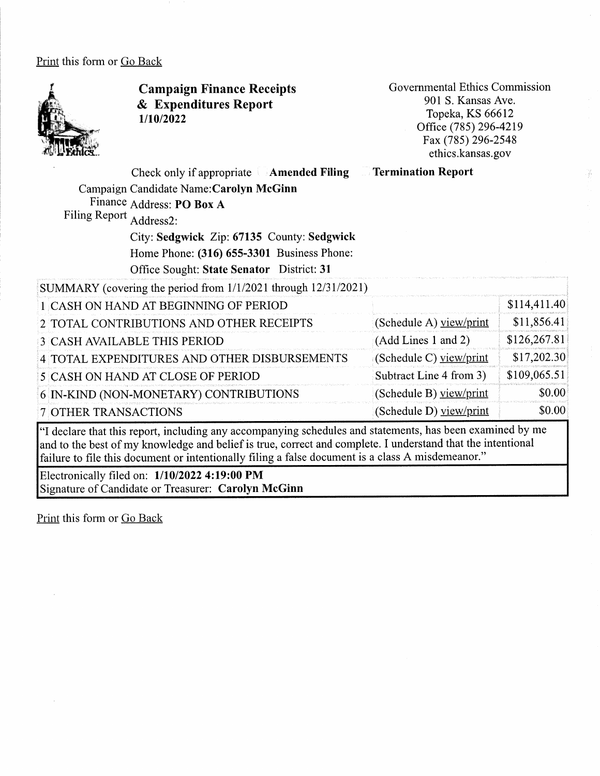#### Print this form or Go Back



Campaign Finance Receipts & Expenditures Report 1/10/2022

Governmental Ethics Commission 901 S. Kansas Ave. Topeka, KS 66612 Office (785) 296-4219 Fax (785) 296-2548 ethics.kansas.gov

¥.

Check only if appropriate  $\Box$  **Amended Filing** Termination Report

Campaign Candidate Name: Carolyn McGinn

Finance Address: PO Box A

Filing Report Address2:

City: Sedgwick Zip: 67135 County: Sedgwick Home Phone: (316) 655-3301 Business Phone: Office Sought: State Senator District: 31

| SUMMARY (covering the period from 1/1/2021 through 12/31/2021)                                                                                                                                                                                                                                                                                                |                         |              |
|---------------------------------------------------------------------------------------------------------------------------------------------------------------------------------------------------------------------------------------------------------------------------------------------------------------------------------------------------------------|-------------------------|--------------|
| 1 CASH ON HAND AT BEGINNING OF PERIOD                                                                                                                                                                                                                                                                                                                         |                         | \$114,411.40 |
| 2 TOTAL CONTRIBUTIONS AND OTHER RECEIPTS                                                                                                                                                                                                                                                                                                                      | (Schedule A) yiew/print | \$11,856.41  |
| <b>3 CASH AVAILABLE THIS PERIOD</b>                                                                                                                                                                                                                                                                                                                           | (Add Lines 1 and 2)     | \$126,267.81 |
| 4 TOTAL EXPENDITURES AND OTHER DISBURSEMENTS                                                                                                                                                                                                                                                                                                                  | (Schedule C) yiew/print | \$17,202.30  |
| 5 CASH ON HAND AT CLOSE OF PERIOD                                                                                                                                                                                                                                                                                                                             | Subtract Line 4 from 3) | \$109,065.51 |
| 6 IN-KIND (NON-MONETARY) CONTRIBUTIONS                                                                                                                                                                                                                                                                                                                        | (Schedule B) view/print | \$0.00       |
| 7 OTHER TRANSACTIONS                                                                                                                                                                                                                                                                                                                                          | (Schedule D) yiew/print | \$0.00       |
| $\alpha$ = $\alpha$ = $\alpha$ = $\alpha$ = $\alpha$ = $\alpha$ = $\alpha$ = $\alpha$ = $\alpha$ = $\alpha$ = $\alpha$ = $\alpha$ = $\alpha$ = $\alpha$ = $\alpha$ = $\alpha$ = $\alpha$ = $\alpha$ = $\alpha$ = $\alpha$ = $\alpha$ = $\alpha$ = $\alpha$ = $\alpha$ = $\alpha$ = $\alpha$ = $\alpha$ = $\alpha$ = $\alpha$ = $\alpha$ = $\alpha$ = $\alpha$ |                         |              |

"I declare that this report, including any accompanying schedules and statements, has been examined by me and to the best of my knowledge and belief is tme, correct and complete. I understand that the intentional failure to file this document or intentionally filing a false document is a class A misdemeanor."

Electronically filed on: 1/10/2022 4:19:00 PM Signature of Candidate or Treasurer: Carolyn McGinn

Print this form or Go Back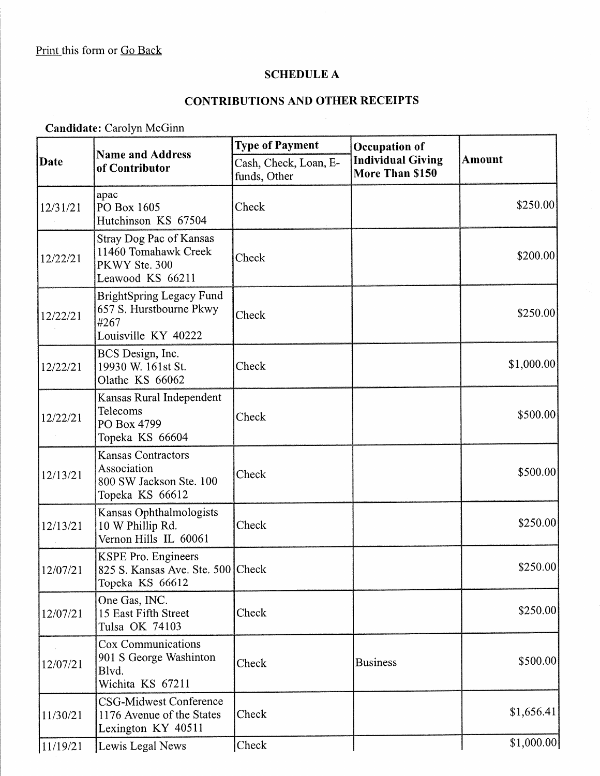### SCHEDULE A

# CONTRIBUTIONS AND OTHER RECEIPTS

Candidate: Carolyn McGinn

|          | <b>Name and Address</b><br>of Contributor                                                 | <b>Type of Payment</b>                | Occupation of                               | <b>Amount</b> |
|----------|-------------------------------------------------------------------------------------------|---------------------------------------|---------------------------------------------|---------------|
| Date     |                                                                                           | Cash, Check, Loan, E-<br>funds, Other | <b>Individual Giving</b><br>More Than \$150 |               |
| 12/31/21 | apac<br>PO Box 1605<br>Hutchinson KS 67504                                                | Check                                 |                                             | \$250.00      |
| 12/22/21 | Stray Dog Pac of Kansas<br>11460 Tomahawk Creek<br>PKWY Ste. 300<br>Leawood KS 66211      | Check                                 |                                             | \$200.00      |
| 12/22/21 | <b>BrightSpring Legacy Fund</b><br>657 S. Hurstbourne Pkwy<br>#267<br>Louisville KY 40222 | Check                                 |                                             | \$250.00      |
| 12/22/21 | BCS Design, Inc.<br>19930 W. 161st St.<br>Olathe KS 66062                                 | Check                                 |                                             | \$1,000.00]   |
| 12/22/21 | Kansas Rural Independent<br>Telecoms<br>PO Box 4799<br>Topeka KS 66604                    | Check                                 |                                             | \$500.00]     |
| 12/13/21 | <b>Kansas Contractors</b><br>Association<br>800 SW Jackson Ste. 100<br>Topeka KS 66612    | Check                                 |                                             | \$500.00      |
| 12/13/21 | Kansas Ophthalmologists<br>10 W Phillip Rd.<br>Vernon Hills IL 60061                      | Check                                 |                                             | \$250.00]     |
| 12/07/21 | KSPE Pro. Engineers<br>825 S. Kansas Ave. Ste. 500 Check<br>Topeka KS 66612               |                                       |                                             | \$250.00]     |
| 12/07/21 | One Gas, INC.<br>15 East Fifth Street<br>Tulsa OK 74103                                   | Check                                 |                                             | \$250.00]     |
| 12/07/21 | Cox Communications<br>901 S George Washinton<br>Blvd.<br>Wichita KS 67211                 | Check                                 | <b>Business</b>                             | \$500.00      |
| 11/30/21 | <b>CSG-Midwest Conference</b><br>1176 Avenue of the States<br>Lexington KY 40511          | Check                                 |                                             | \$1,656.41    |
| 11/19/21 | Lewis Legal News                                                                          | Check                                 |                                             | \$1,000.00    |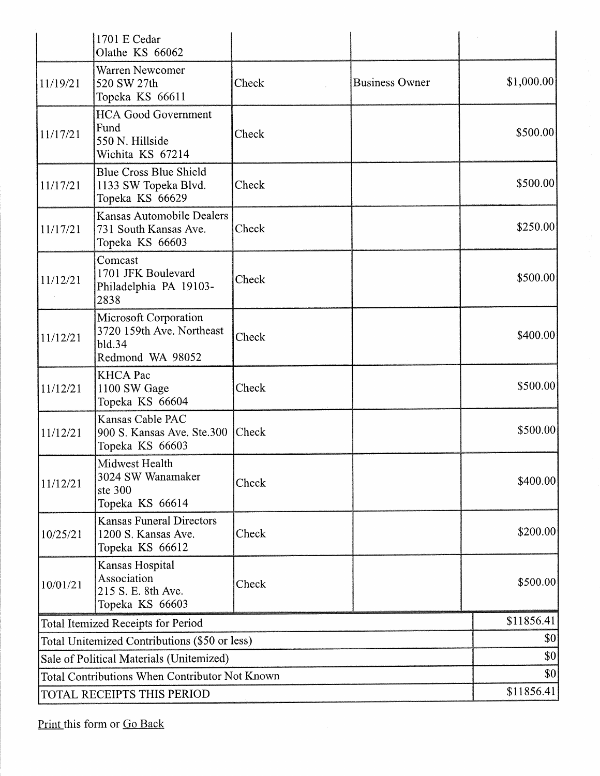|                                                | 1701 E Cedar<br>Olathe KS 66062                                                  |       |                       |             |
|------------------------------------------------|----------------------------------------------------------------------------------|-------|-----------------------|-------------|
| 11/19/21                                       | Warren Newcomer<br>520 SW 27th<br>Topeka KS 66611                                | Check | <b>Business Owner</b> | \$1,000.00] |
| 11/17/21                                       | <b>HCA Good Government</b><br>Fund<br>550 N. Hillside<br>Wichita KS 67214        | Check |                       | \$500.00    |
| 11/17/21                                       | <b>Blue Cross Blue Shield</b><br>1133 SW Topeka Blvd.<br>Topeka KS 66629         | Check |                       | \$500.00]   |
| 11/17/21                                       | Kansas Automobile Dealers<br>731 South Kansas Ave.<br>Topeka KS 66603            | Check |                       | \$250.00    |
| 11/12/21                                       | Comcast<br>1701 JFK Boulevard<br>Philadelphia PA 19103-<br>2838                  | Check |                       | \$500.00]   |
| 11/12/21                                       | Microsoft Corporation<br>3720 159th Ave. Northeast<br>bld.34<br>Redmond WA 98052 | Check |                       | \$400.00]   |
| 11/12/21                                       | <b>KHCA</b> Pac<br>1100 SW Gage<br>Topeka KS 66604                               | Check |                       | \$500.00    |
| 11/12/21                                       | Kansas Cable PAC<br>900 S. Kansas Ave. Ste.300<br>Topeka KS 66603                | Check |                       | \$500.00]   |
| 11/12/21                                       | Midwest Health<br>3024 SW Wanamaker<br>ste 300<br>Topeka KS 66614                | Check |                       | \$400.00]   |
| 10/25/21                                       | <b>Kansas Funeral Directors</b><br>1200 S. Kansas Ave.<br>Topeka KS 66612        | Check |                       | \$200.00    |
| 10/01/21                                       | Kansas Hospital<br>Association<br>215 S. E. 8th Ave.<br>Topeka KS 66603          | Check |                       | \$500.00    |
| Total Itemized Receipts for Period             |                                                                                  |       | \$11856.41            |             |
| Total Unitemized Contributions (\$50 or less)  |                                                                                  |       | \$0                   |             |
| Sale of Political Materials (Unitemized)       |                                                                                  |       | \$0                   |             |
| Total Contributions When Contributor Not Known |                                                                                  |       |                       | \$0\$       |
| TOTAL RECEIPTS THIS PERIOD                     |                                                                                  |       | \$11856.41            |             |

Print this form or Go Back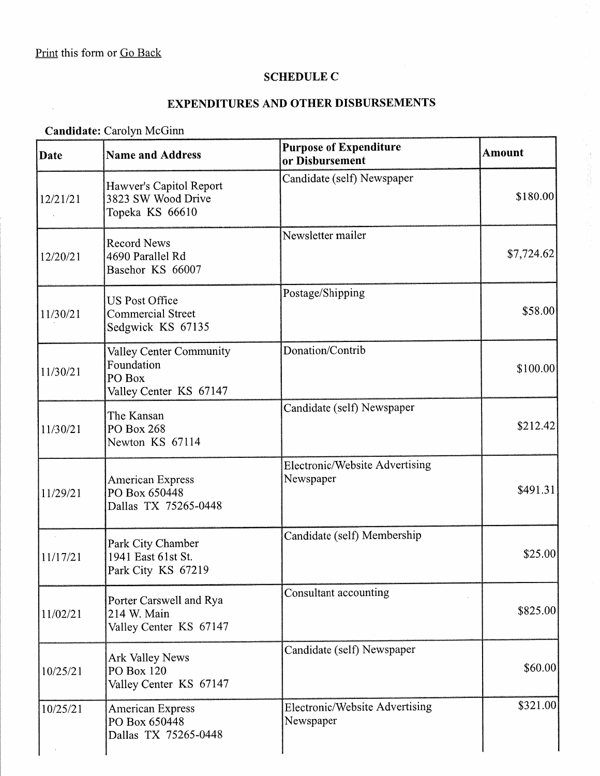$\sim$ 

### SCHEDULE C

# EXPENDITURES AND OTHER DISBURSEMENTS

### Candidate: Carolyn McGinn

| Date     | <b>Name and Address</b>                                                   | <b>Purpose of Expenditure</b><br>or Disbursement | Amount     |
|----------|---------------------------------------------------------------------------|--------------------------------------------------|------------|
| 12/21/21 | Hawver's Capitol Report<br>3823 SW Wood Drive<br>Topeka KS 66610          | Candidate (self) Newspaper                       | \$180.00   |
| 12/20/21 | <b>Record News</b><br>4690 Parallel Rd<br>Basehor KS 66007                | Newsletter mailer                                | \$7,724.62 |
| 11/30/21 | <b>US Post Office</b><br><b>Commercial Street</b><br>Sedgwick KS 67135    | Postage/Shipping                                 | \$58.00    |
| 11/30/21 | Valley Center Community<br>Foundation<br>PO Box<br>Valley Center KS 67147 | Donation/Contrib                                 | \$100.00   |
| 11/30/21 | The Kansan<br>PO Box 268<br>Newton KS 67114                               | Candidate (self) Newspaper                       | \$212.42   |
| 11/29/21 | <b>American Express</b><br>PO Box 650448<br>Dallas TX 75265-0448          | Electronic/Website Advertising<br>Newspaper      | \$491.31   |
| 11/17/21 | Park City Chamber<br>1941 East 61st St.<br>Park City KS 67219             | Candidate (self) Membership                      | \$25.00    |
| 11/02/21 | Porter Carswell and Rya<br>214 W. Main<br>Valley Center KS 67147          | Consultant accounting                            | \$825.00   |
| 10/25/21 | Ark Valley News<br><b>PO Box 120</b><br>Valley Center KS 67147            | Candidate (self) Newspaper                       | \$60.00    |
| 10/25/21 | <b>American Express</b><br>PO Box 650448<br>Dallas TX 75265-0448          | Electronic/Website Advertising<br>Newspaper      | \$321.00   |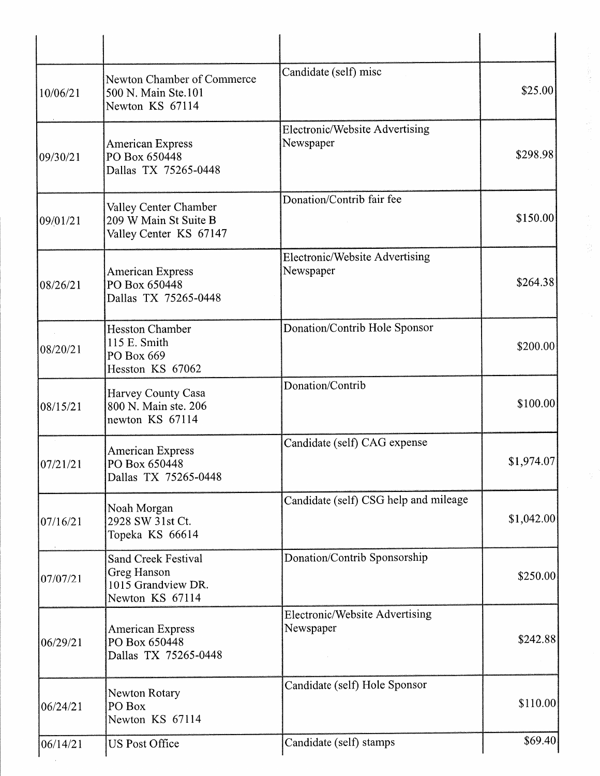| 10/06/21 | <b>Newton Chamber of Commerce</b><br>500 N. Main Ste.101<br>Newton KS 67114        | Candidate (self) misc                              | \$25.00    |
|----------|------------------------------------------------------------------------------------|----------------------------------------------------|------------|
| 09/30/21 | <b>American Express</b><br>PO Box 650448<br>Dallas TX 75265-0448                   | <b>Electronic/Website Advertising</b><br>Newspaper | \$298.98   |
| 09/01/21 | Valley Center Chamber<br>209 W Main St Suite B<br>Valley Center KS 67147           | Donation/Contrib fair fee                          | \$150.00   |
| 08/26/21 | <b>American Express</b><br>PO Box 650448<br>Dallas TX 75265-0448                   | Electronic/Website Advertising<br>Newspaper        | \$264.38   |
| 08/20/21 | <b>Hesston Chamber</b><br>115 E. Smith<br>PO Box 669<br>Hesston KS 67062           | Donation/Contrib Hole Sponsor                      | \$200.00   |
| 08/15/21 | Harvey County Casa<br>800 N. Main ste. 206<br>newton KS 67114                      | Donation/Contrib                                   | \$100.00]  |
| 07/21/21 | <b>American Express</b><br>PO Box 650448<br>Dallas TX 75265-0448                   | Candidate (self) CAG expense                       | \$1,974.07 |
| 07/16/21 | Noah Morgan<br>2928 SW 31st Ct.<br>Topeka KS 66614                                 | Candidate (self) CSG help and mileage              | \$1,042.00 |
| 07/07/21 | <b>Sand Creek Festival</b><br>Greg Hanson<br>1015 Grandview DR.<br>Newton KS 67114 | Donation/Contrib Sponsorship                       | \$250.00   |
| 06/29/21 | <b>American Express</b><br>PO Box 650448<br>Dallas TX 75265-0448                   | Electronic/Website Advertising<br>Newspaper        | \$242.88   |
| 06/24/21 | <b>Newton Rotary</b><br>PO Box<br>Newton KS 67114                                  | Candidate (self) Hole Sponsor                      | \$110.00   |
| 06/14/21 | <b>US Post Office</b>                                                              | Candidate (self) stamps                            | \$69.40]   |

 $\frac{1}{2}$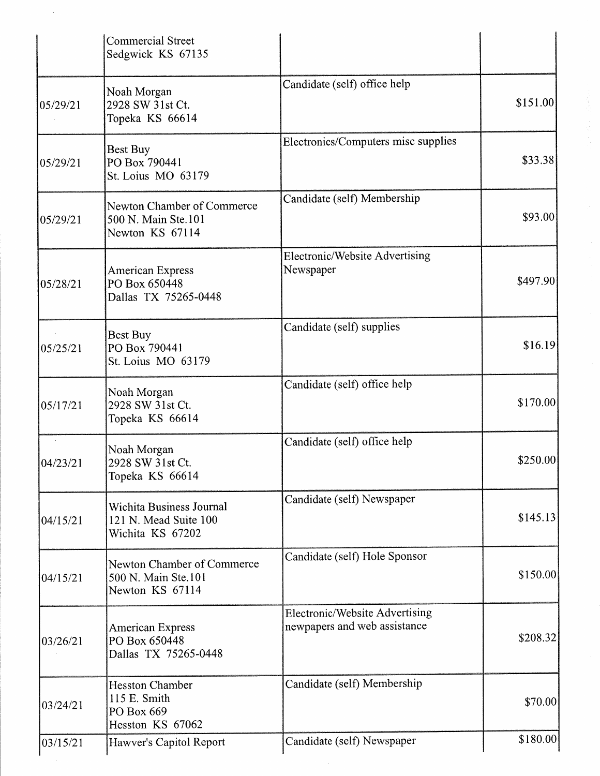|          | <b>Commercial Street</b><br>Sedgwick KS 67135                            |                                                                       |           |
|----------|--------------------------------------------------------------------------|-----------------------------------------------------------------------|-----------|
| 05/29/21 | Noah Morgan<br>2928 SW 31st Ct.<br>Topeka KS 66614                       | Candidate (self) office help                                          | \$151.00  |
| 05/29/21 | <b>Best Buy</b><br>PO Box 790441<br>St. Loius MO 63179                   | Electronics/Computers misc supplies                                   | \$33.38   |
| 05/29/21 | Newton Chamber of Commerce<br>500 N. Main Ste.101<br>Newton KS 67114     | Candidate (self) Membership                                           | \$93.00   |
| 05/28/21 | American Express<br>PO Box 650448<br>Dallas TX 75265-0448                | Electronic/Website Advertising<br>Newspaper                           | \$497.90  |
| 05/25/21 | Best Buy<br>PO Box 790441<br>St. Loius MO 63179                          | Candidate (self) supplies                                             | \$16.19   |
| 05/17/21 | Noah Morgan<br>2928 SW 31st Ct.<br>Topeka KS 66614                       | Candidate (self) office help                                          | \$170.00  |
| 04/23/21 | Noah Morgan<br>2928 SW 31st Ct.<br>Topeka KS 66614                       | Candidate (self) office help                                          | \$250.00] |
| 04/15/21 | Wichita Business Journal<br>121 N. Mead Suite 100<br>Wichita KS 67202    | Candidate (self) Newspaper                                            | \$145.13  |
| 04/15/21 | Newton Chamber of Commerce<br>500 N. Main Ste.101<br>Newton KS 67114     | Candidate (self) Hole Sponsor                                         | \$150.00  |
| 03/26/21 | <b>American Express</b><br>PO Box 650448<br>Dallas TX 75265-0448         | <b>Electronic/Website Advertising</b><br>newpapers and web assistance | \$208.32  |
| 03/24/21 | <b>Hesston Chamber</b><br>115 E. Smith<br>PO Box 669<br>Hesston KS 67062 | Candidate (self) Membership                                           | \$70.00   |
| 03/15/21 | Hawver's Capitol Report                                                  | Candidate (self) Newspaper                                            | \$180.00  |

 $\frac{1}{\sqrt{2}}\sum_{i=1}^{n} \frac{1}{\sqrt{2}}\left(\frac{1}{\sqrt{2}}\right)^2$